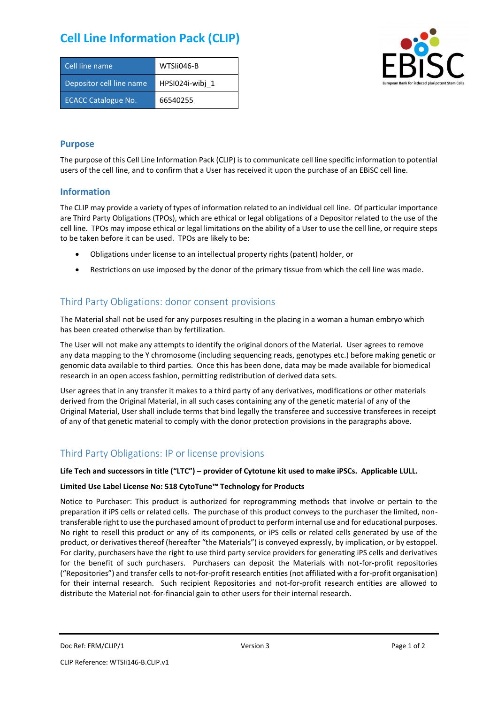# **Cell Line Information Pack (CLIP)**

| Cell line name             | WTSIi046-B      |
|----------------------------|-----------------|
| Depositor cell line name   | HPSI024i-wibi 1 |
| <b>ECACC Catalogue No.</b> | 66540255        |



#### **Purpose**

The purpose of this Cell Line Information Pack (CLIP) is to communicate cell line specific information to potential users of the cell line, and to confirm that a User has received it upon the purchase of an EBiSC cell line.

#### **Information**

The CLIP may provide a variety of types of information related to an individual cell line. Of particular importance are Third Party Obligations (TPOs), which are ethical or legal obligations of a Depositor related to the use of the cell line. TPOs may impose ethical or legal limitations on the ability of a User to use the cell line, or require steps to be taken before it can be used. TPOs are likely to be:

- Obligations under license to an intellectual property rights (patent) holder, or
- Restrictions on use imposed by the donor of the primary tissue from which the cell line was made.

## Third Party Obligations: donor consent provisions

The Material shall not be used for any purposes resulting in the placing in a woman a human embryo which has been created otherwise than by fertilization.

The User will not make any attempts to identify the original donors of the Material. User agrees to remove any data mapping to the Y chromosome (including sequencing reads, genotypes etc.) before making genetic or genomic data available to third parties. Once this has been done, data may be made available for biomedical research in an open access fashion, permitting redistribution of derived data sets.

User agrees that in any transfer it makes to a third party of any derivatives, modifications or other materials derived from the Original Material, in all such cases containing any of the genetic material of any of the Original Material, User shall include terms that bind legally the transferee and successive transferees in receipt of any of that genetic material to comply with the donor protection provisions in the paragraphs above.

## Third Party Obligations: IP or license provisions

#### **Life Tech and successors in title ("LTC") – provider of Cytotune kit used to make iPSCs. Applicable LULL.**

#### **Limited Use Label License No: 518 CytoTune™ Technology for Products**

Notice to Purchaser: This product is authorized for reprogramming methods that involve or pertain to the preparation if iPS cells or related cells. The purchase of this product conveys to the purchaser the limited, nontransferable right to use the purchased amount of product to perform internal use and for educational purposes. No right to resell this product or any of its components, or iPS cells or related cells generated by use of the product, or derivatives thereof (hereafter "the Materials") is conveyed expressly, by implication, or by estoppel. For clarity, purchasers have the right to use third party service providers for generating iPS cells and derivatives for the benefit of such purchasers. Purchasers can deposit the Materials with not-for-profit repositories ("Repositories") and transfer cells to not-for-profit research entities (not affiliated with a for-profit organisation) for their internal research. Such recipient Repositories and not-for-profit research entities are allowed to distribute the Material not-for-financial gain to other users for their internal research.

Doc Ref: FRM/CLIP/1 **Docessition** 2 Page 1 of 2 Version 3 **Page 1 of 2** Page 1 of 2